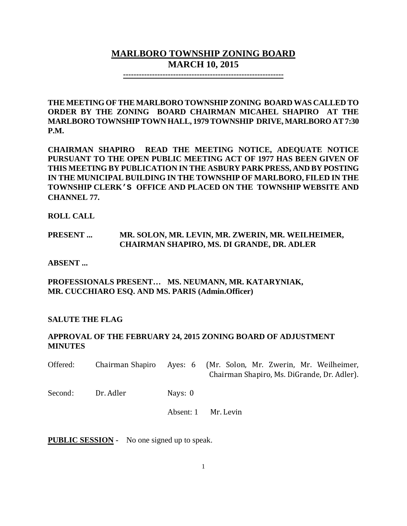# **MARLBORO TOWNSHIP ZONING BOARD MARCH 10, 2015**

**-------------------------------------------------------------**

**THE MEETING OF THE MARLBORO TOWNSHIP ZONING BOARD WAS CALLED TO ORDER BY THE ZONING BOARD CHAIRMAN MICAHEL SHAPIRO AT THE MARLBORO TOWNSHIPTOWN HALL, 1979 TOWNSHIP DRIVE, MARLBORO AT 7:30 P.M.**

**CHAIRMAN SHAPIRO READ THE MEETING NOTICE, ADEQUATE NOTICE PURSUANT TO THE OPEN PUBLIC MEETING ACT OF 1977 HAS BEEN GIVEN OF THIS MEETING BY PUBLICATION IN THE ASBURY PARK PRESS, AND BY POSTING IN THE MUNICIPAL BUILDING IN THE TOWNSHIP OF MARLBORO, FILED IN THE TOWNSHIP CLERK'S OFFICE AND PLACED ON THE TOWNSHIP WEBSITE AND CHANNEL 77.**

**ROLL CALL**

## **PRESENT ... MR. SOLON, MR. LEVIN, MR. ZWERIN, MR. WEILHEIMER, CHAIRMAN SHAPIRO, MS. DI GRANDE, DR. ADLER**

**ABSENT ...**

**PROFESSIONALS PRESENT… MS. NEUMANN, MR. KATARYNIAK, MR. CUCCHIARO ESQ. AND MS. PARIS (Admin.Officer)**

## **SALUTE THE FLAG**

## **APPROVAL OF THE FEBRUARY 24, 2015 ZONING BOARD OF ADJUSTMENT MINUTES**

| Offered: | Chairman Shapiro |           | Ayes: 6 (Mr. Solon, Mr. Zwerin, Mr. Weilheimer,<br>Chairman Shapiro, Ms. DiGrande, Dr. Adler). |
|----------|------------------|-----------|------------------------------------------------------------------------------------------------|
| Second:  | Dr. Adler        | Nays: 0   |                                                                                                |
|          |                  | Absent: 1 | Mr. Levin                                                                                      |

**PUBLIC SESSION -** No one signed up to speak.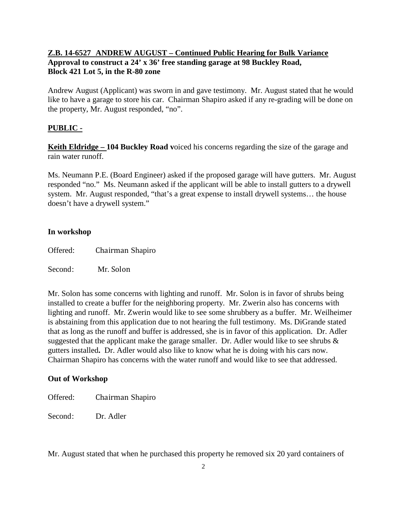## **Z.B. 14-6527 ANDREW AUGUST – Continued Public Hearing for Bulk Variance Approval to construct a 24' x 36' free standing garage at 98 Buckley Road, Block 421 Lot 5, in the R-80 zone**

Andrew August (Applicant) was sworn in and gave testimony. Mr. August stated that he would like to have a garage to store his car. Chairman Shapiro asked if any re-grading will be done on the property, Mr. August responded, "no".

### **PUBLIC -**

**Keith Eldridge – 104 Buckley Road voiced his concerns regarding the size of the garage and** rain water runoff.

Ms. Neumann P.E. (Board Engineer) asked if the proposed garage will have gutters. Mr. August responded "no." Ms. Neumann asked if the applicant will be able to install gutters to a drywell system. Mr. August responded, "that's a great expense to install drywell systems... the house doesn't have a drywell system."

### **In workshop**

Offered: Chairman Shapiro

Second: Mr. Solon

Mr. Solon has some concerns with lighting and runoff. Mr. Solon is in favor of shrubs being installed to create a buffer for the neighboring property. Mr. Zwerin also has concerns with lighting and runoff. Mr. Zwerin would like to see some shrubbery as a buffer. Mr. Weilheimer is abstaining from this application due to not hearing the full testimony. Ms. DiGrande stated that as long as the runoff and buffer is addressed, she is in favor of this application. Dr. Adler suggested that the applicant make the garage smaller. Dr. Adler would like to see shrubs  $\&$ gutters installed**.** Dr. Adler would also like to know what he is doing with his cars now. Chairman Shapiro has concerns with the water runoff and would like to see that addressed.

### **Out of Workshop**

Offered: Chairman Shapiro

Second: Dr. Adler

Mr. August stated that when he purchased this property he removed six 20 yard containers of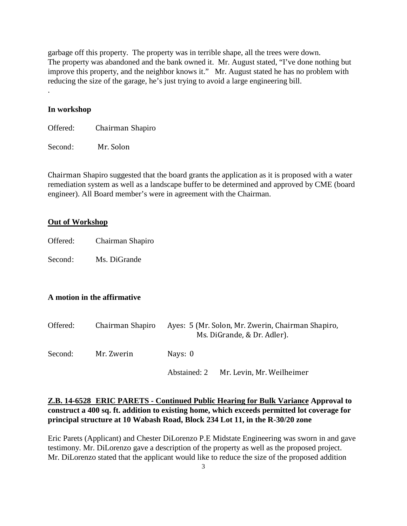garbage off this property. The property was in terrible shape, all the trees were down. The property was abandoned and the bank owned it. Mr. August stated, "I've done nothing but improve this property, and the neighbor knows it." Mr. August stated he has no problem with reducing the size of the garage, he's just trying to avoid a large engineering bill.

### **In workshop**

.

Offered: Chairman Shapiro

Second: Mr. Solon

Chairman Shapiro suggested that the board grants the application as it is proposed with a water remediation system as well as a landscape buffer to be determined and approved by CME (board engineer). All Board member's were in agreement with the Chairman.

#### **Out of Workshop**

Offered: Chairman Shapiro

Second: Ms. DiGrande

### **A motion in the affirmative**

| Offered: | Chairman Shapiro | Ayes: 5 (Mr. Solon, Mr. Zwerin, Chairman Shapiro,<br>Ms. DiGrande, & Dr. Adler). |  |  |
|----------|------------------|----------------------------------------------------------------------------------|--|--|
| Second:  | Mr. Zwerin       | Nays: 0                                                                          |  |  |
|          |                  | Mr. Levin, Mr. Weilheimer<br>Abstained: 2                                        |  |  |

### **Z.B. 14-6528 ERIC PARETS - Continued Public Hearing for Bulk Variance Approval to construct a 400 sq. ft. addition to existing home, which exceeds permitted lot coverage for principal structure at 10 Wabash Road, Block 234 Lot 11, in the R-30/20 zone**

Eric Parets (Applicant) and Chester DiLorenzo P.E Midstate Engineering was sworn in and gave testimony. Mr. DiLorenzo gave a description of the property as well as the proposed project. Mr. DiLorenzo stated that the applicant would like to reduce the size of the proposed addition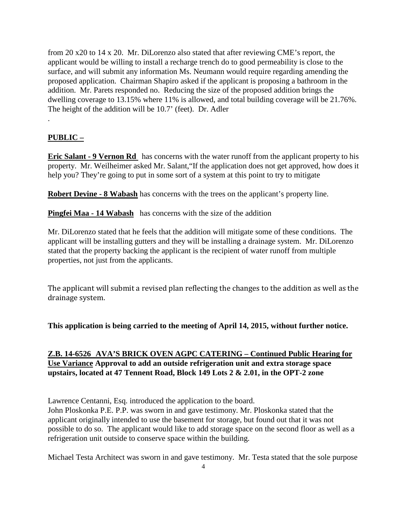from 20 x20 to 14 x 20. Mr. DiLorenzo also stated that after reviewing CME's report, the applicant would be willing to install a recharge trench do to good permeability is close to the surface, and will submit any information Ms. Neumann would require regarding amending the proposed application. Chairman Shapiro asked if the applicant is proposing a bathroom in the addition. Mr. Parets responded no. Reducing the size of the proposed addition brings the dwelling coverage to 13.15% where 11% is allowed, and total building coverage will be 21.76%. The height of the addition will be 10.7' (feet). Dr. Adler

## **PUBLIC –**

.

**Eric Salant - 9 Vernon Rd** has concerns with the water runoff from the applicant property to his property. Mr. Weilheimer asked Mr. Salant,"If the application does not get approved, how does it help you? They're going to put in some sort of a system at this point to try to mitigate

**Robert Devine - 8 Wabash** has concerns with the trees on the applicant's property line.

**Pingfei Maa - 14 Wabash** has concerns with the size of the addition

Mr. DiLorenzo stated that he feels that the addition will mitigate some of these conditions. The applicant will be installing gutters and they will be installing a drainage system. Mr. DiLorenzo stated that the property backing the applicant is the recipient of water runoff from multiple properties, not just from the applicants.

The applicant will submit a revised plan reflecting the changes to the addition as well as the drainage system.

**This application is being carried to the meeting of April 14, 2015, without further notice.**

## **Z.B. 14-6526 AVA'S BRICK OVEN AGPC CATERING – Continued Public Hearing for Use Variance Approval to add an outside refrigeration unit and extra storage space upstairs, located at 47 Tennent Road, Block 149 Lots 2 & 2.01, in the OPT-2 zone**

Lawrence Centanni, Esq. introduced the application to the board.

John Ploskonka P.E. P.P. was sworn in and gave testimony. Mr. Ploskonka stated that the applicant originally intended to use the basement for storage, but found out that it was not possible to do so. The applicant would like to add storage space on the second floor as well as a refrigeration unit outside to conserve space within the building.

Michael Testa Architect was sworn in and gave testimony. Mr. Testa stated that the sole purpose